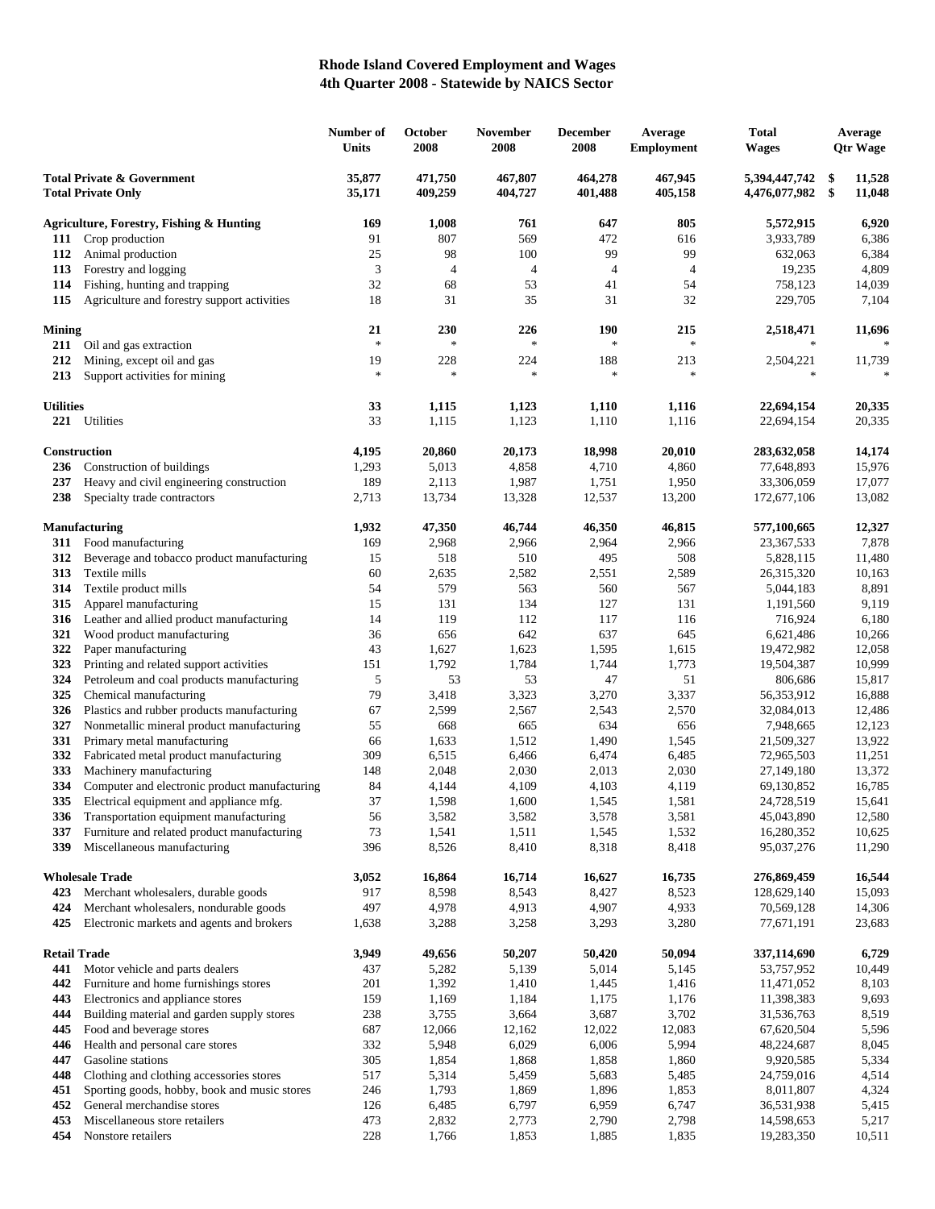## **Rhode Island Covered Employment and Wages 4th Quarter 2008 - Statewide by NAICS Sector**

|                                                                    |                                                                                   | Number of<br><b>Units</b> | October<br>2008    | <b>November</b><br>2008 | <b>December</b><br>2008 | Average<br><b>Employment</b> | Total<br>Wages                 |          | Average<br><b>Qtr Wage</b> |
|--------------------------------------------------------------------|-----------------------------------------------------------------------------------|---------------------------|--------------------|-------------------------|-------------------------|------------------------------|--------------------------------|----------|----------------------------|
| <b>Total Private &amp; Government</b><br><b>Total Private Only</b> |                                                                                   | 35,877<br>35,171          | 471,750<br>409,259 | 467,807<br>404,727      | 464,278<br>401,488      | 467,945<br>405,158           | 5,394,447,742<br>4,476,077,982 | \$<br>\$ | 11,528<br>11,048           |
|                                                                    | <b>Agriculture, Forestry, Fishing &amp; Hunting</b>                               | 169                       | 1,008              | 761                     | 647                     | 805                          | 5,572,915                      |          | 6,920                      |
| 111                                                                | Crop production                                                                   | 91                        | 807                | 569                     | 472                     | 616                          | 3,933,789                      |          | 6,386                      |
| 112                                                                | Animal production                                                                 | 25                        | 98                 | 100                     | 99                      | 99                           | 632,063                        |          | 6,384                      |
| 113                                                                | Forestry and logging                                                              | 3                         | $\overline{4}$     | $\overline{4}$          | $\overline{4}$          | $\overline{4}$               | 19,235                         |          | 4,809                      |
| 114                                                                | Fishing, hunting and trapping                                                     | 32                        | 68                 | 53                      | 41                      | 54                           | 758,123                        |          | 14,039                     |
| 115                                                                | Agriculture and forestry support activities                                       | 18                        | 31                 | 35                      | 31                      | 32                           | 229,705                        |          | 7,104                      |
| Mining                                                             |                                                                                   | 21                        | 230                | 226                     | 190                     | 215                          | 2,518,471                      |          | 11,696                     |
| 211                                                                | Oil and gas extraction                                                            | $\frac{1}{2}$             | $\ast$             | $\ast$                  | $\ast$                  | $\ast$                       | $\ast$                         |          | $\ast$                     |
| 212                                                                | Mining, except oil and gas                                                        | 19<br>$\frac{1}{2}$       | 228<br>$\ast$      | 224<br>$\ast$           | 188<br>$\ast$           | 213<br>$\ast$                | 2,504,221<br>$\ast$            |          | 11,739<br>$\frac{1}{2}$    |
| 213                                                                | Support activities for mining                                                     |                           |                    |                         |                         |                              |                                |          |                            |
| <b>Utilities</b>                                                   |                                                                                   | 33                        | 1,115              | 1,123                   | 1,110                   | 1,116                        | 22,694,154                     |          | 20,335                     |
| 221                                                                | Utilities                                                                         | 33                        | 1,115              | 1,123                   | 1,110                   | 1,116                        | 22,694,154                     |          | 20,335                     |
|                                                                    | <b>Construction</b>                                                               | 4,195                     | 20,860             | 20,173                  | 18,998                  | 20,010                       | 283,632,058                    |          | 14,174                     |
| 236                                                                | Construction of buildings                                                         | 1,293                     | 5,013              | 4,858                   | 4,710                   | 4,860                        | 77,648,893                     |          | 15,976                     |
| 237                                                                | Heavy and civil engineering construction                                          | 189                       | 2,113              | 1,987                   | 1,751                   | 1,950                        | 33,306,059                     |          | 17,077                     |
| 238                                                                | Specialty trade contractors                                                       | 2,713                     | 13,734             | 13,328                  | 12,537                  | 13,200                       | 172,677,106                    |          | 13,082                     |
|                                                                    | <b>Manufacturing</b>                                                              | 1,932                     | 47,350             | 46,744                  | 46,350                  | 46,815                       | 577,100,665                    |          | 12,327                     |
| 311                                                                | Food manufacturing                                                                | 169                       | 2,968              | 2,966                   | 2,964                   | 2,966                        | 23, 367, 533                   |          | 7,878                      |
| 312                                                                | Beverage and tobacco product manufacturing                                        | 15                        | 518                | 510                     | 495                     | 508                          | 5,828,115                      |          | 11,480                     |
| 313                                                                | Textile mills                                                                     | 60                        | 2,635              | 2,582                   | 2,551                   | 2,589                        | 26,315,320                     |          | 10,163                     |
| 314                                                                | Textile product mills                                                             | 54                        | 579                | 563                     | 560                     | 567                          | 5,044,183                      |          | 8,891                      |
| 315                                                                | Apparel manufacturing                                                             | 15                        | 131                | 134                     | 127                     | 131                          | 1,191,560                      |          | 9,119                      |
| 316<br>321                                                         | Leather and allied product manufacturing<br>Wood product manufacturing            | 14<br>36                  | 119<br>656         | 112<br>642              | 117<br>637              | 116<br>645                   | 716,924<br>6,621,486           |          | 6,180<br>10,266            |
| 322                                                                | Paper manufacturing                                                               | 43                        | 1,627              | 1,623                   | 1,595                   | 1,615                        | 19,472,982                     |          | 12,058                     |
| 323                                                                | Printing and related support activities                                           | 151                       | 1,792              | 1,784                   | 1,744                   | 1,773                        | 19,504,387                     |          | 10,999                     |
| 324                                                                | Petroleum and coal products manufacturing                                         | 5                         | 53                 | 53                      | 47                      | 51                           | 806,686                        |          | 15,817                     |
| 325                                                                | Chemical manufacturing                                                            | 79                        | 3,418              | 3,323                   | 3,270                   | 3,337                        | 56,353,912                     |          | 16,888                     |
| 326                                                                | Plastics and rubber products manufacturing                                        | 67                        | 2,599              | 2,567                   | 2,543                   | 2,570                        | 32,084,013                     |          | 12,486                     |
| 327                                                                | Nonmetallic mineral product manufacturing                                         | 55                        | 668                | 665                     | 634                     | 656                          | 7,948,665                      |          | 12,123                     |
| 331                                                                | Primary metal manufacturing                                                       | 66                        | 1,633              | 1,512                   | 1,490                   | 1,545                        | 21,509,327                     |          | 13,922                     |
| 332                                                                | Fabricated metal product manufacturing                                            | 309                       | 6,515              | 6,466                   | 6,474                   | 6,485                        | 72,965,503                     |          | 11,251                     |
| 333                                                                | Machinery manufacturing                                                           | 148                       | 2,048              | 2,030                   | 2,013                   | 2,030                        | 27,149,180                     |          | 13,372                     |
| 334                                                                | Computer and electronic product manufacturing                                     | 84<br>37                  | 4,144              | 4,109                   | 4,103                   | 4,119                        | 69,130,852                     |          | 16,785                     |
| 335<br>336                                                         | Electrical equipment and appliance mfg.<br>Transportation equipment manufacturing | 56                        | 1,598<br>3,582     | 1,600<br>3,582          | 1,545<br>3,578          | 1,581<br>3,581               | 24,728,519<br>45,043,890       |          | 15,641<br>12,580           |
| 337                                                                | Furniture and related product manufacturing                                       | 73                        | 1,541              | 1,511                   | 1,545                   | 1,532                        | 16,280,352                     |          | 10,625                     |
| 339                                                                | Miscellaneous manufacturing                                                       | 396                       | 8,526              | 8,410                   | 8,318                   | 8,418                        | 95,037,276                     |          | 11,290                     |
|                                                                    |                                                                                   |                           |                    |                         |                         |                              |                                |          |                            |
| 423                                                                | <b>Wholesale Trade</b><br>Merchant wholesalers, durable goods                     | 3,052<br>917              | 16,864<br>8,598    | 16,714<br>8,543         | 16,627<br>8,427         | 16,735<br>8,523              | 276,869,459<br>128,629,140     |          | 16,544<br>15,093           |
| 424                                                                | Merchant wholesalers, nondurable goods                                            | 497                       | 4,978              | 4,913                   | 4,907                   | 4,933                        | 70,569,128                     |          | 14,306                     |
| 425                                                                | Electronic markets and agents and brokers                                         | 1,638                     | 3,288              | 3,258                   | 3,293                   | 3,280                        | 77,671,191                     |          | 23,683                     |
| <b>Retail Trade</b>                                                |                                                                                   | 3,949                     | 49,656             | 50,207                  | 50,420                  | 50,094                       | 337,114,690                    |          | 6,729                      |
| 441                                                                | Motor vehicle and parts dealers                                                   | 437                       | 5,282              | 5,139                   | 5,014                   | 5,145                        | 53,757,952                     |          | 10,449                     |
| 442                                                                | Furniture and home furnishings stores                                             | 201                       | 1,392              | 1,410                   | 1,445                   | 1,416                        | 11,471,052                     |          | 8,103                      |
| 443                                                                | Electronics and appliance stores                                                  | 159                       | 1,169              | 1,184                   | 1,175                   | 1,176                        | 11,398,383                     |          | 9,693                      |
| 444                                                                | Building material and garden supply stores                                        | 238                       | 3,755              | 3,664                   | 3,687                   | 3,702                        | 31,536,763                     |          | 8,519                      |
| 445                                                                | Food and beverage stores                                                          | 687                       | 12,066             | 12,162                  | 12,022                  | 12,083                       | 67,620,504                     |          | 5,596                      |
| 446                                                                | Health and personal care stores                                                   | 332                       | 5,948              | 6,029                   | 6,006                   | 5,994                        | 48,224,687                     |          | 8,045                      |
| 447                                                                | Gasoline stations                                                                 | 305                       | 1,854              | 1,868                   | 1,858                   | 1,860                        | 9,920,585                      |          | 5,334                      |
| 448                                                                | Clothing and clothing accessories stores                                          | 517                       | 5,314              | 5,459                   | 5,683                   | 5,485                        | 24,759,016                     |          | 4,514                      |
| 451                                                                | Sporting goods, hobby, book and music stores                                      | 246                       | 1,793              | 1,869                   | 1,896                   | 1,853                        | 8,011,807                      |          | 4,324                      |
| 452                                                                | General merchandise stores<br>Miscellaneous store retailers                       | 126<br>473                | 6,485              | 6,797                   | 6,959                   | 6,747                        | 36,531,938                     |          | 5,415                      |
| 453<br>454                                                         | Nonstore retailers                                                                | 228                       | 2,832<br>1,766     | 2,773<br>1,853          | 2,790<br>1,885          | 2,798<br>1,835               | 14,598,653<br>19,283,350       |          | 5,217<br>10,511            |
|                                                                    |                                                                                   |                           |                    |                         |                         |                              |                                |          |                            |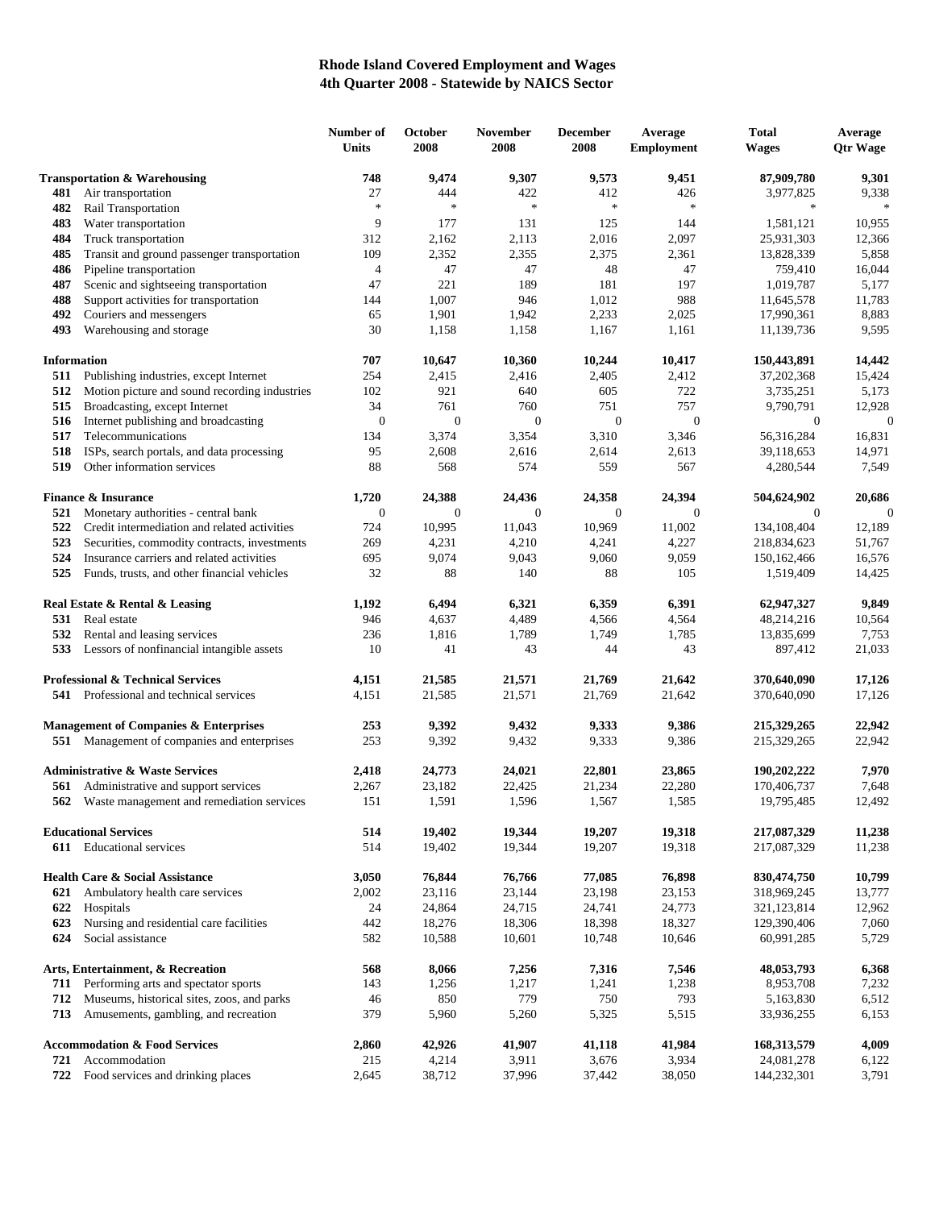## **Rhode Island Covered Employment and Wages 4th Quarter 2008 - Statewide by NAICS Sector**

|                                         |                                                  | Number of<br>Units | October<br>2008  | <b>November</b><br>2008 | <b>December</b><br>2008 | Average<br><b>Employment</b> | <b>Total</b><br><b>Wages</b> | Average<br><b>Otr Wage</b> |
|-----------------------------------------|--------------------------------------------------|--------------------|------------------|-------------------------|-------------------------|------------------------------|------------------------------|----------------------------|
| <b>Transportation &amp; Warehousing</b> |                                                  | 748                | 9,474            | 9,307                   | 9,573                   | 9,451                        | 87,909,780                   | 9,301                      |
| 481                                     | Air transportation                               | 27                 | 444              | 422                     | 412                     | 426                          | 3,977,825                    | 9,338                      |
| 482                                     | Rail Transportation                              | $\frac{1}{2}$      | $\ast$           | $\ast$                  | $\ast$                  | $\ast$                       | $\ast$                       | $\frac{1}{2}$              |
| 483                                     | Water transportation                             | 9                  | 177              | 131                     | 125                     | 144                          | 1,581,121                    | 10,955                     |
| 484                                     | Truck transportation                             | 312                | 2,162            | 2,113                   | 2,016                   | 2,097                        | 25,931,303                   | 12,366                     |
| 485                                     | Transit and ground passenger transportation      | 109                | 2,352            | 2,355                   | 2,375                   | 2,361                        | 13,828,339                   | 5,858                      |
| 486                                     | Pipeline transportation                          | $\overline{4}$     | 47               | 47                      | 48                      | 47                           | 759,410                      | 16,044                     |
| 487                                     | Scenic and sightseeing transportation            | 47                 | 221              | 189                     | 181                     | 197                          | 1,019,787                    | 5,177                      |
| 488                                     | Support activities for transportation            | 144                | 1,007            | 946                     | 1,012                   | 988                          | 11,645,578                   | 11,783                     |
| 492                                     | Couriers and messengers                          | 65                 | 1,901            | 1,942                   | 2,233                   | 2,025                        | 17,990,361                   | 8,883                      |
| 493                                     | Warehousing and storage                          | 30                 | 1,158            | 1,158                   | 1,167                   | 1,161                        | 11,139,736                   | 9,595                      |
| <b>Information</b>                      |                                                  | 707                | 10,647           | 10,360                  | 10,244                  | 10,417                       | 150,443,891                  | 14,442                     |
| 511                                     | Publishing industries, except Internet           | 254                | 2,415            | 2,416                   | 2,405                   | 2,412                        | 37,202,368                   | 15,424                     |
| 512                                     | Motion picture and sound recording industries    | 102                | 921              | 640                     | 605                     | 722                          | 3,735,251                    | 5,173                      |
| 515                                     | Broadcasting, except Internet                    | 34                 | 761              | 760                     | 751                     | 757                          | 9,790,791                    | 12,928                     |
| 516                                     | Internet publishing and broadcasting             | $\mathbf{0}$       | $\boldsymbol{0}$ | $\boldsymbol{0}$        | $\mathbf{0}$            | $\mathbf{0}$                 | $\mathbf{0}$                 | $\mathbf 0$                |
| 517                                     | Telecommunications                               | 134                | 3,374            | 3,354                   | 3,310                   | 3,346                        | 56,316,284                   | 16,831                     |
| 518                                     | ISPs, search portals, and data processing        | 95                 | 2,608            | 2,616                   | 2,614                   | 2,613                        | 39,118,653                   | 14,971                     |
| 519                                     | Other information services                       | 88                 | 568              | 574                     | 559                     | 567                          | 4,280,544                    | 7,549                      |
|                                         | <b>Finance &amp; Insurance</b>                   | 1,720              | 24,388           | 24,436                  | 24,358                  | 24,394                       | 504,624,902                  | 20,686                     |
| 521                                     | Monetary authorities - central bank              | $\boldsymbol{0}$   | $\boldsymbol{0}$ | $\boldsymbol{0}$        | $\mathbf{0}$            | $\theta$                     | $\mathbf{0}$                 | $\mathbf 0$                |
| 522                                     | Credit intermediation and related activities     | 724                | 10,995           | 11,043                  | 10,969                  | 11,002                       | 134,108,404                  | 12,189                     |
| 523                                     | Securities, commodity contracts, investments     | 269                | 4,231            | 4,210                   | 4,241                   | 4,227                        | 218,834,623                  | 51,767                     |
| 524                                     | Insurance carriers and related activities        | 695                | 9,074            | 9,043                   | 9,060                   | 9,059                        | 150,162,466                  | 16,576                     |
| 525                                     | Funds, trusts, and other financial vehicles      | 32                 | 88               | 140                     | 88                      | 105                          | 1,519,409                    | 14,425                     |
|                                         | Real Estate & Rental & Leasing                   | 1,192              | 6,494            | 6,321                   | 6,359                   | 6,391                        | 62,947,327                   | 9,849                      |
| 531                                     | Real estate                                      | 946                | 4,637            | 4,489                   | 4,566                   | 4,564                        | 48,214,216                   | 10,564                     |
| 532                                     | Rental and leasing services                      | 236                | 1,816            | 1,789                   | 1,749                   | 1,785                        | 13,835,699                   | 7,753                      |
| 533                                     | Lessors of nonfinancial intangible assets        | 10                 | 41               | 43                      | 44                      | 43                           | 897,412                      | 21,033                     |
|                                         | <b>Professional &amp; Technical Services</b>     | 4,151              | 21,585           | 21,571                  | 21,769                  | 21,642                       | 370,640,090                  | 17,126                     |
|                                         | <b>541</b> Professional and technical services   | 4,151              | 21,585           | 21,571                  | 21,769                  | 21,642                       | 370,640,090                  | 17,126                     |
|                                         | <b>Management of Companies &amp; Enterprises</b> | 253                | 9,392            | 9,432                   | 9,333                   | 9,386                        | 215,329,265                  | 22,942                     |
|                                         | 551 Management of companies and enterprises      | 253                | 9,392            | 9,432                   | 9,333                   | 9,386                        | 215,329,265                  | 22,942                     |
|                                         |                                                  |                    |                  |                         |                         |                              |                              |                            |
|                                         | <b>Administrative &amp; Waste Services</b>       | 2,418              | 24,773           | 24,021                  | 22,801                  | 23,865                       | 190,202,222                  | 7,970                      |
| 561                                     | Administrative and support services              | 2,267              | 23,182           | 22,425                  | 21,234                  | 22,280                       | 170,406,737                  | 7,648                      |
| 562                                     | Waste management and remediation services        | 151                | 1,591            | 1,596                   | 1,567                   | 1,585                        | 19,795,485                   | 12,492                     |
|                                         | <b>Educational Services</b>                      | 514                | 19,402           | 19,344                  | 19,207                  | 19,318                       | 217,087,329                  | 11,238                     |
|                                         | 611 Educational services                         | 514                | 19,402           | 19,344                  | 19,207                  | 19,318                       | 217,087,329                  | 11,238                     |
|                                         | <b>Health Care &amp; Social Assistance</b>       | 3,050              | 76,844           | 76,766                  | 77,085                  | 76,898                       | 830,474,750                  | 10,799                     |
| 621                                     | Ambulatory health care services                  | 2,002              | 23,116           | 23,144                  | 23,198                  | 23,153                       | 318,969,245                  | 13,777                     |
| 622                                     | Hospitals                                        | 24                 | 24,864           | 24,715                  | 24,741                  | 24,773                       | 321,123,814                  | 12,962                     |
| 623                                     | Nursing and residential care facilities          | 442                | 18,276           | 18,306                  | 18,398                  | 18,327                       | 129,390,406                  | 7,060                      |
| 624                                     | Social assistance                                | 582                | 10,588           | 10,601                  | 10,748                  | 10,646                       | 60,991,285                   | 5,729                      |
|                                         | Arts, Entertainment, & Recreation                | 568                | 8,066            | 7,256                   | 7,316                   | 7,546                        | 48,053,793                   | 6,368                      |
| 711                                     | Performing arts and spectator sports             | 143                | 1,256            | 1,217                   | 1,241                   | 1,238                        | 8,953,708                    | 7,232                      |
| 712                                     | Museums, historical sites, zoos, and parks       | 46                 | 850              | 779                     | 750                     | 793                          | 5,163,830                    | 6,512                      |
| 713                                     | Amusements, gambling, and recreation             | 379                | 5,960            | 5,260                   | 5,325                   | 5,515                        | 33,936,255                   | 6,153                      |
|                                         | <b>Accommodation &amp; Food Services</b>         | 2,860              | 42,926           | 41,907                  | 41,118                  | 41,984                       | 168, 313, 579                | 4,009                      |
| 721                                     | Accommodation                                    | 215                | 4,214            | 3,911                   | 3,676                   | 3,934                        | 24,081,278                   | 6,122                      |
| 722                                     | Food services and drinking places                | 2,645              | 38,712           | 37,996                  | 37,442                  | 38,050                       | 144,232,301                  | 3,791                      |
|                                         |                                                  |                    |                  |                         |                         |                              |                              |                            |